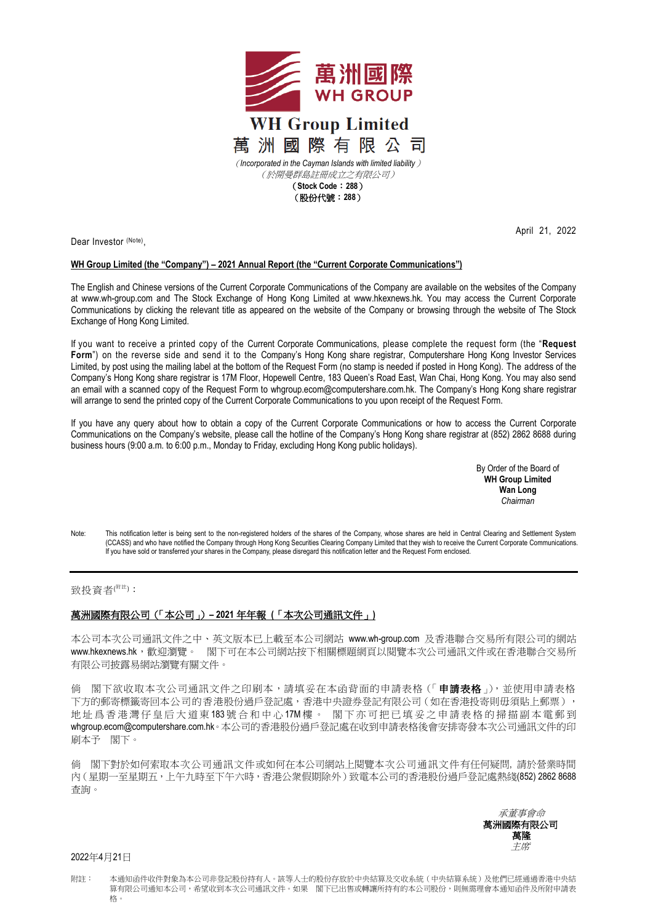

Dear Investor (Note),

April 21, 2022

## **WH Group Limited (the "Company") – 2021 Annual Report (the "Current Corporate Communications")**

The English and Chinese versions of the Current Corporate Communications of the Company are available on the websites of the Company at [www.wh-group.com](http://www.wh-group.com/) and The Stock Exchange of Hong Kong Limited at [www.hkexnews.hk.](http://www.hkexnews.hk/) You may access the Current Corporate Communications by clicking the relevant title as appeared on the website of the Company or browsing through the website of The Stock Exchange of Hong Kong Limited.

If you want to receive a printed copy of the Current Corporate Communications, please complete the request form (the "**Request Form**") on the reverse side and send it to the Company's Hong Kong share registrar, Computershare Hong Kong Investor Services Limited, by post using the mailing label at the bottom of the Request Form (no stamp is needed if posted in Hong Kong). The address of the Company's Hong Kong share registrar is 17M Floor, Hopewell Centre, 183 Queen's Road East, Wan Chai, Hong Kong. You may also send an email with a scanned copy of the Request Form to [whgroup.ecom@computershare.com.hk.](mailto:whgroup.ecom@computershare.com.hk) The Company's Hong Kong share registrar will arrange to send the printed copy of the Current Corporate Communications to you upon receipt of the Request Form.

If you have any query about how to obtain a copy of the Current Corporate Communications or how to access the Current Corporate Communications on the Company's website, please call the hotline of the Company's Hong Kong share registrar at (852) 2862 8688 during business hours (9:00 a.m. to 6:00 p.m., Monday to Friday, excluding Hong Kong public holidays).

> By Order of the Board of **WH Group Limited Wan Long** *Chairman*

Note: This notification letter is being sent to the non-registered holders of the shares of the Company, whose shares are held in Central Clearing and Settlement System (CCASS) and who have notified the Company through Hong Kong Securities Clearing Company Limited that they wish to receive the Current Corporate Communications. If you have sold or transferred your shares in the Company, please disregard this notification letter and the Request Form enclosed.

## 致投資者(附註):

## 萬洲國際有限公司(「本公司」)**– 2021** 年年報 **(**「本次公司通訊文件」**)**

本公司本次公司通訊文件之中、英文版本已上載至本公司網站 [www.wh-group.com](http://www.wh-group.com/) 及香港聯合交易所有限公司的網站 [www.hkexnews.hk](http://www.hkexnews.hk/), 歡迎瀏覽。 閣下可在本公司網站按下相關標題網頁以閱覽本次公司通訊文件或在香港聯合交易所 有限公司披露易網站瀏覽有關文件。

閣下欲收取本次公司通訊文件之印刷本,請填妥在本函背面的申請表格(「申請表格」),並使用申請表格 下方的郵寄標籤寄回本公司的香港股份過戶登記處,香港中央證券登記有限公司(如在香港投寄則毋須貼上郵票), 地址爲香港灣 仔 皇 后 大 道 東 183 號合和中心 17M 樓 。 閣下亦可把已填妥之申請表格的掃描副本電郵到 [whgroup.ecom@computershare.com.hk](mailto:whgroup.ecom@computershare.com.hk)。本公司的香港股份過戶登記處在收到申請表格後會安排寄發本次公司通訊文件的印 刷本予 閣下。

倘 閣下對於如何索取本次公司通訊文件或如何在本公司網站上閱覽本次公司通訊文件有任何疑問, 請於營業時間 內(星期一至星期五,上午九時至下午六時,香港公衆假期除外)致電本公司的香港股份過戶登記處熱綫(852) 2862 8688 查詢。



2022年4月21日

附註: 本通知函件收件對象為本公司非登記股份持有人。該等人士的股份存放於中央結算及交收系統(中央結算系統)及他們已經通過香港中央結 算有限公司通知本公司,科学的有法律,如果 閣下已出售或轉讓所持有的本公司股份,則無需理會本通知函件及所附申請表 格。